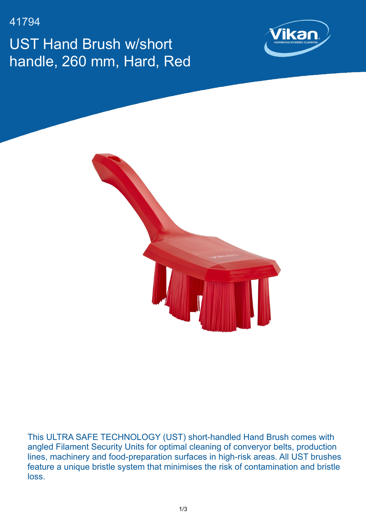41794

UST Hand Brush w/short handle, 260 mm, Hard, Red





This ULTRA SAFE TECHNOLOGY (UST) short-handled Hand Brush comes with angled Filament Security Units for optimal cleaning of converyor belts, production lines, machinery and food-preparation surfaces in high-risk areas. All UST brushes feature a unique bristle system that minimises the risk of contamination and bristle loss.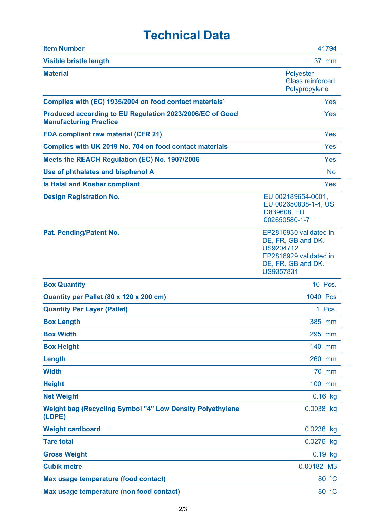## **Technical Data**

| <b>Item Number</b>                                                                        | 41794                                                                                                                  |
|-------------------------------------------------------------------------------------------|------------------------------------------------------------------------------------------------------------------------|
| <b>Visible bristle length</b>                                                             | 37 mm                                                                                                                  |
| <b>Material</b>                                                                           | <b>Polyester</b><br><b>Glass reinforced</b><br>Polypropylene                                                           |
| Complies with (EC) 1935/2004 on food contact materials <sup>1</sup>                       | Yes                                                                                                                    |
| Produced according to EU Regulation 2023/2006/EC of Good<br><b>Manufacturing Practice</b> | Yes                                                                                                                    |
| <b>FDA compliant raw material (CFR 21)</b>                                                | Yes                                                                                                                    |
| Complies with UK 2019 No. 704 on food contact materials                                   | <b>Yes</b>                                                                                                             |
| Meets the REACH Regulation (EC) No. 1907/2006                                             | Yes                                                                                                                    |
| Use of phthalates and bisphenol A                                                         | <b>No</b>                                                                                                              |
| <b>Is Halal and Kosher compliant</b>                                                      | <b>Yes</b>                                                                                                             |
| <b>Design Registration No.</b>                                                            | EU 002189654-0001,<br>EU 002650838-1-4, US<br>D839608, EU<br>002650580-1-7                                             |
| Pat. Pending/Patent No.                                                                   | EP2816930 validated in<br>DE, FR, GB and DK.<br>US9204712<br>EP2816929 validated in<br>DE, FR, GB and DK.<br>US9357831 |
| <b>Box Quantity</b>                                                                       | 10 Pcs.                                                                                                                |
| Quantity per Pallet (80 x 120 x 200 cm)                                                   | 1040 Pcs                                                                                                               |
| <b>Quantity Per Layer (Pallet)</b>                                                        | 1 Pcs.                                                                                                                 |
| <b>Box Length</b>                                                                         | 385 mm                                                                                                                 |
| <b>Box Width</b>                                                                          | 295 mm                                                                                                                 |
| <b>Box Height</b>                                                                         | 140 mm                                                                                                                 |
| Length                                                                                    | 260 mm                                                                                                                 |
| <b>Width</b>                                                                              | 70 mm                                                                                                                  |
| <b>Height</b>                                                                             | 100 mm                                                                                                                 |
| <b>Net Weight</b>                                                                         | $0.16$ kg                                                                                                              |
| <b>Weight bag (Recycling Symbol "4" Low Density Polyethylene</b><br>(LDPE)                | 0.0038 kg                                                                                                              |
| <b>Weight cardboard</b>                                                                   | 0.0238 kg                                                                                                              |
| <b>Tare total</b>                                                                         | 0.0276 kg                                                                                                              |
| <b>Gross Weight</b>                                                                       | $0.19$ kg                                                                                                              |
| <b>Cubik metre</b>                                                                        | 0.00182 M3                                                                                                             |
| Max usage temperature (food contact)                                                      | 80 °C                                                                                                                  |
| Max usage temperature (non food contact)                                                  | 80 °C                                                                                                                  |